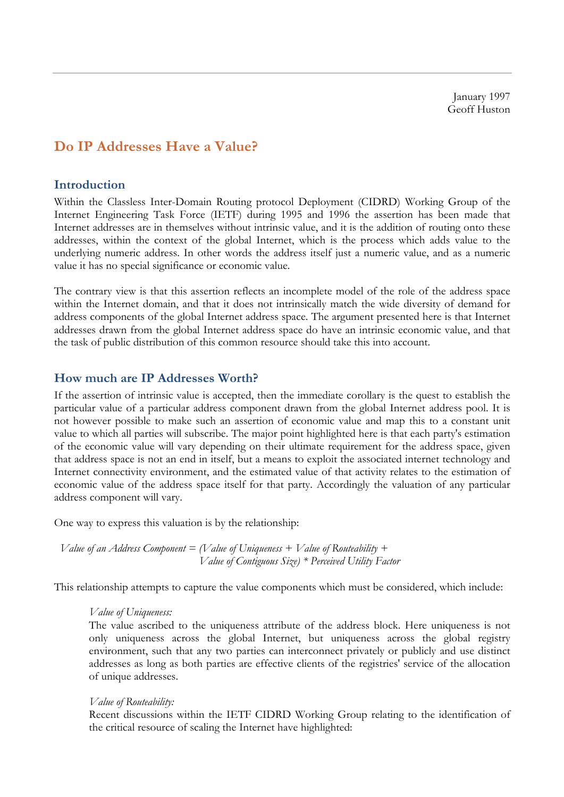January 1997 Geoff Huston

# **Do IP Addresses Have a Value?**

### **Introduction**

Within the Classless Inter-Domain Routing protocol Deployment (CIDRD) Working Group of the Internet Engineering Task Force (IETF) during 1995 and 1996 the assertion has been made that Internet addresses are in themselves without intrinsic value, and it is the addition of routing onto these addresses, within the context of the global Internet, which is the process which adds value to the underlying numeric address. In other words the address itself just a numeric value, and as a numeric value it has no special significance or economic value.

The contrary view is that this assertion reflects an incomplete model of the role of the address space within the Internet domain, and that it does not intrinsically match the wide diversity of demand for address components of the global Internet address space. The argument presented here is that Internet addresses drawn from the global Internet address space do have an intrinsic economic value, and that the task of public distribution of this common resource should take this into account.

#### **How much are IP Addresses Worth?**

If the assertion of intrinsic value is accepted, then the immediate corollary is the quest to establish the particular value of a particular address component drawn from the global Internet address pool. It is not however possible to make such an assertion of economic value and map this to a constant unit value to which all parties will subscribe. The major point highlighted here is that each party's estimation of the economic value will vary depending on their ultimate requirement for the address space, given that address space is not an end in itself, but a means to exploit the associated internet technology and Internet connectivity environment, and the estimated value of that activity relates to the estimation of economic value of the address space itself for that party. Accordingly the valuation of any particular address component will vary.

One way to express this valuation is by the relationship:

 *Value of an Address Component = (Value of Uniqueness + Value of Routeability + Value of Contiguous Size) \* Perceived Utility Factor*

This relationship attempts to capture the value components which must be considered, which include:

#### *Value of Uniqueness:*

The value ascribed to the uniqueness attribute of the address block. Here uniqueness is not only uniqueness across the global Internet, but uniqueness across the global registry environment, such that any two parties can interconnect privately or publicly and use distinct addresses as long as both parties are effective clients of the registries' service of the allocation of unique addresses.

#### *Value of Routeability:*

Recent discussions within the IETF CIDRD Working Group relating to the identification of the critical resource of scaling the Internet have highlighted: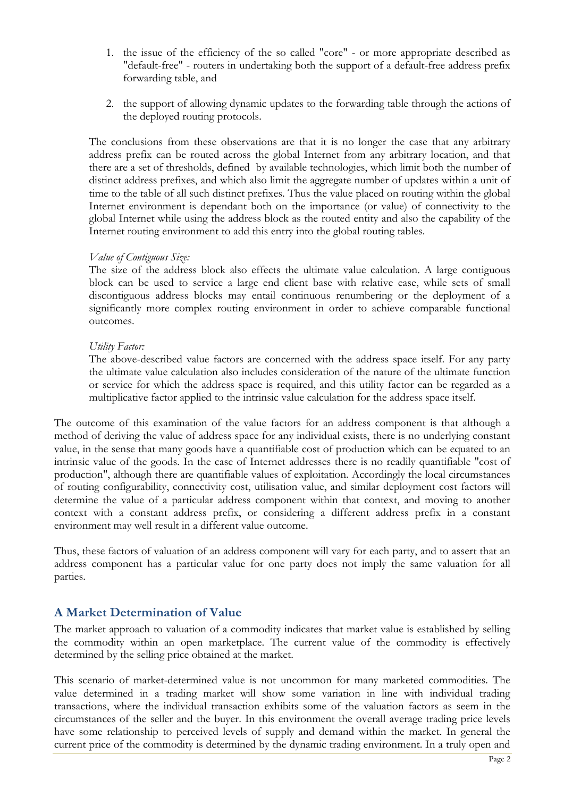- 1. the issue of the efficiency of the so called "core" or more appropriate described as "default-free" - routers in undertaking both the support of a default-free address prefix forwarding table, and
- 2. the support of allowing dynamic updates to the forwarding table through the actions of the deployed routing protocols.

The conclusions from these observations are that it is no longer the case that any arbitrary address prefix can be routed across the global Internet from any arbitrary location, and that there are a set of thresholds, defined by available technologies, which limit both the number of distinct address prefixes, and which also limit the aggregate number of updates within a unit of time to the table of all such distinct prefixes. Thus the value placed on routing within the global Internet environment is dependant both on the importance (or value) of connectivity to the global Internet while using the address block as the routed entity and also the capability of the Internet routing environment to add this entry into the global routing tables.

#### *Value of Contiguous Size:*

The size of the address block also effects the ultimate value calculation. A large contiguous block can be used to service a large end client base with relative ease, while sets of small discontiguous address blocks may entail continuous renumbering or the deployment of a significantly more complex routing environment in order to achieve comparable functional outcomes.

### *Utility Factor:*

The above-described value factors are concerned with the address space itself. For any party the ultimate value calculation also includes consideration of the nature of the ultimate function or service for which the address space is required, and this utility factor can be regarded as a multiplicative factor applied to the intrinsic value calculation for the address space itself.

The outcome of this examination of the value factors for an address component is that although a method of deriving the value of address space for any individual exists, there is no underlying constant value, in the sense that many goods have a quantifiable cost of production which can be equated to an intrinsic value of the goods. In the case of Internet addresses there is no readily quantifiable "cost of production", although there are quantifiable values of exploitation. Accordingly the local circumstances of routing configurability, connectivity cost, utilisation value, and similar deployment cost factors will determine the value of a particular address component within that context, and moving to another context with a constant address prefix, or considering a different address prefix in a constant environment may well result in a different value outcome.

Thus, these factors of valuation of an address component will vary for each party, and to assert that an address component has a particular value for one party does not imply the same valuation for all parties.

## **A Market Determination of Value**

The market approach to valuation of a commodity indicates that market value is established by selling the commodity within an open marketplace. The current value of the commodity is effectively determined by the selling price obtained at the market.

This scenario of market-determined value is not uncommon for many marketed commodities. The value determined in a trading market will show some variation in line with individual trading transactions, where the individual transaction exhibits some of the valuation factors as seem in the circumstances of the seller and the buyer. In this environment the overall average trading price levels have some relationship to perceived levels of supply and demand within the market. In general the current price of the commodity is determined by the dynamic trading environment. In a truly open and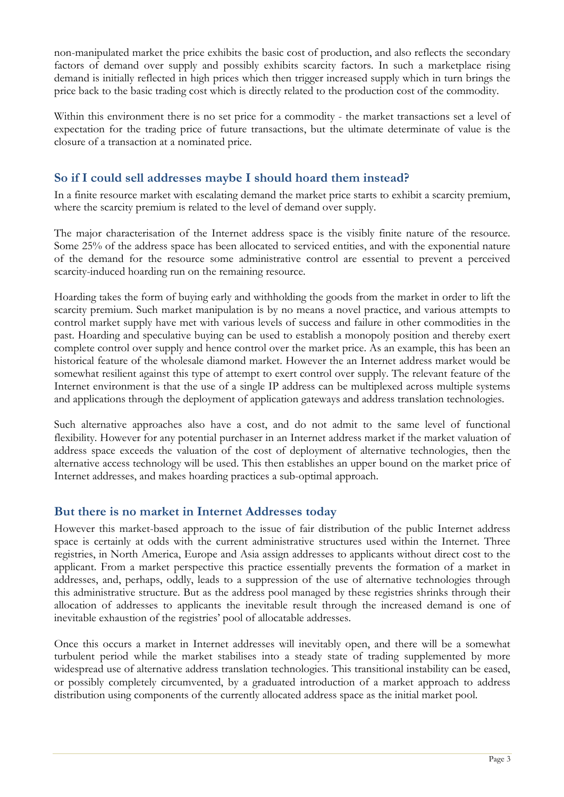non-manipulated market the price exhibits the basic cost of production, and also reflects the secondary factors of demand over supply and possibly exhibits scarcity factors. In such a marketplace rising demand is initially reflected in high prices which then trigger increased supply which in turn brings the price back to the basic trading cost which is directly related to the production cost of the commodity.

Within this environment there is no set price for a commodity - the market transactions set a level of expectation for the trading price of future transactions, but the ultimate determinate of value is the closure of a transaction at a nominated price.

## **So if I could sell addresses maybe I should hoard them instead?**

In a finite resource market with escalating demand the market price starts to exhibit a scarcity premium, where the scarcity premium is related to the level of demand over supply.

The major characterisation of the Internet address space is the visibly finite nature of the resource. Some 25% of the address space has been allocated to serviced entities, and with the exponential nature of the demand for the resource some administrative control are essential to prevent a perceived scarcity-induced hoarding run on the remaining resource.

Hoarding takes the form of buying early and withholding the goods from the market in order to lift the scarcity premium. Such market manipulation is by no means a novel practice, and various attempts to control market supply have met with various levels of success and failure in other commodities in the past. Hoarding and speculative buying can be used to establish a monopoly position and thereby exert complete control over supply and hence control over the market price. As an example, this has been an historical feature of the wholesale diamond market. However the an Internet address market would be somewhat resilient against this type of attempt to exert control over supply. The relevant feature of the Internet environment is that the use of a single IP address can be multiplexed across multiple systems and applications through the deployment of application gateways and address translation technologies.

Such alternative approaches also have a cost, and do not admit to the same level of functional flexibility. However for any potential purchaser in an Internet address market if the market valuation of address space exceeds the valuation of the cost of deployment of alternative technologies, then the alternative access technology will be used. This then establishes an upper bound on the market price of Internet addresses, and makes hoarding practices a sub-optimal approach.

## **But there is no market in Internet Addresses today**

However this market-based approach to the issue of fair distribution of the public Internet address space is certainly at odds with the current administrative structures used within the Internet. Three registries, in North America, Europe and Asia assign addresses to applicants without direct cost to the applicant. From a market perspective this practice essentially prevents the formation of a market in addresses, and, perhaps, oddly, leads to a suppression of the use of alternative technologies through this administrative structure. But as the address pool managed by these registries shrinks through their allocation of addresses to applicants the inevitable result through the increased demand is one of inevitable exhaustion of the registries' pool of allocatable addresses.

Once this occurs a market in Internet addresses will inevitably open, and there will be a somewhat turbulent period while the market stabilises into a steady state of trading supplemented by more widespread use of alternative address translation technologies. This transitional instability can be eased, or possibly completely circumvented, by a graduated introduction of a market approach to address distribution using components of the currently allocated address space as the initial market pool.